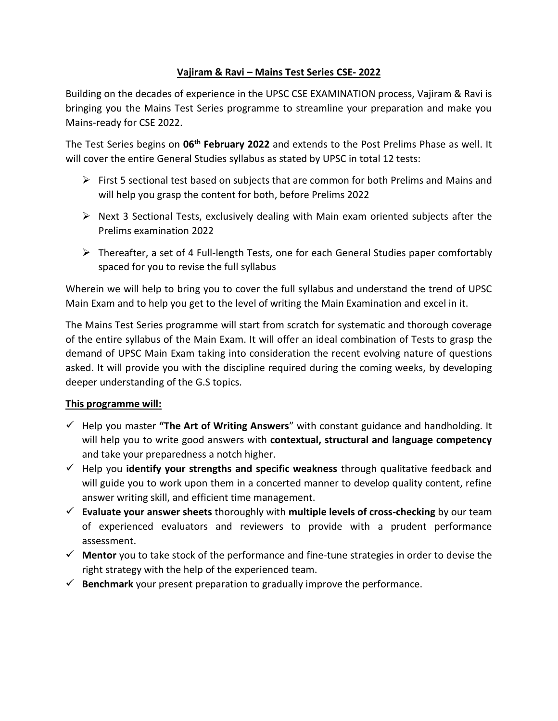## **Vajiram & Ravi – Mains Test Series CSE- 2022**

Building on the decades of experience in the UPSC CSE EXAMINATION process, Vajiram & Ravi is bringing you the Mains Test Series programme to streamline your preparation and make you Mains-ready for CSE 2022.

The Test Series begins on **06th February 2022** and extends to the Post Prelims Phase as well. It will cover the entire General Studies syllabus as stated by UPSC in total 12 tests:

- $\triangleright$  First 5 sectional test based on subjects that are common for both Prelims and Mains and will help you grasp the content for both, before Prelims 2022
- $\triangleright$  Next 3 Sectional Tests, exclusively dealing with Main exam oriented subjects after the Prelims examination 2022
- Thereafter, a set of 4 Full-length Tests, one for each General Studies paper comfortably spaced for you to revise the full syllabus

Wherein we will help to bring you to cover the full syllabus and understand the trend of UPSC Main Exam and to help you get to the level of writing the Main Examination and excel in it.

The Mains Test Series programme will start from scratch for systematic and thorough coverage of the entire syllabus of the Main Exam. It will offer an ideal combination of Tests to grasp the demand of UPSC Main Exam taking into consideration the recent evolving nature of questions asked. It will provide you with the discipline required during the coming weeks, by developing deeper understanding of the G.S topics.

#### **This programme will:**

- Help you master **"The Art of Writing Answers**" with constant guidance and handholding. It will help you to write good answers with **contextual, structural and language competency** and take your preparedness a notch higher.
- Help you **identify your strengths and specific weakness** through qualitative feedback and will guide you to work upon them in a concerted manner to develop quality content, refine answer writing skill, and efficient time management.
- **Evaluate your answer sheets** thoroughly with **multiple levels of cross-checking** by our team of experienced evaluators and reviewers to provide with a prudent performance assessment.
- **Mentor** you to take stock of the performance and fine-tune strategies in order to devise the right strategy with the help of the experienced team.
- $\checkmark$  Benchmark your present preparation to gradually improve the performance.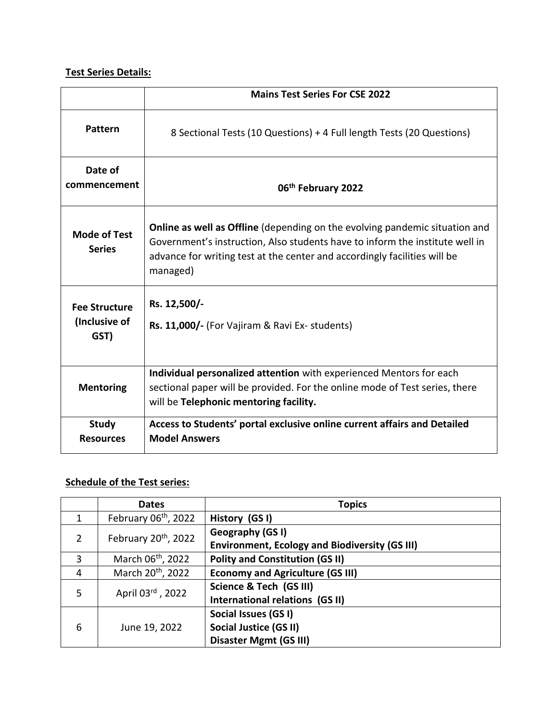# **Test Series Details:**

|                                               | <b>Mains Test Series For CSE 2022</b>                                                                                                                                                                                                                       |
|-----------------------------------------------|-------------------------------------------------------------------------------------------------------------------------------------------------------------------------------------------------------------------------------------------------------------|
| Pattern                                       | 8 Sectional Tests (10 Questions) + 4 Full length Tests (20 Questions)                                                                                                                                                                                       |
| Date of<br>commencement                       | 06th February 2022                                                                                                                                                                                                                                          |
| <b>Mode of Test</b><br><b>Series</b>          | <b>Online as well as Offline</b> (depending on the evolving pandemic situation and<br>Government's instruction, Also students have to inform the institute well in<br>advance for writing test at the center and accordingly facilities will be<br>managed) |
| <b>Fee Structure</b><br>(Inclusive of<br>GST) | Rs. 12,500/-<br>Rs. 11,000/- (For Vajiram & Ravi Ex- students)                                                                                                                                                                                              |
| <b>Mentoring</b>                              | Individual personalized attention with experienced Mentors for each<br>sectional paper will be provided. For the online mode of Test series, there<br>will be Telephonic mentoring facility.                                                                |
| <b>Study</b><br><b>Resources</b>              | Access to Students' portal exclusive online current affairs and Detailed<br><b>Model Answers</b>                                                                                                                                                            |

# **Schedule of the Test series:**

|               | <b>Dates</b>                  | <b>Topics</b>                                         |
|---------------|-------------------------------|-------------------------------------------------------|
|               | February 06th, 2022           | History (GSI)                                         |
| $\mathcal{P}$ | February 20th, 2022           | Geography (GS I)                                      |
|               |                               | <b>Environment, Ecology and Biodiversity (GS III)</b> |
| 3             | March 06 <sup>th</sup> , 2022 | <b>Polity and Constitution (GS II)</b>                |
| 4             | March 20 <sup>th</sup> , 2022 | <b>Economy and Agriculture (GS III)</b>               |
| 5             | April 03rd, 2022              | Science & Tech (GS III)                               |
|               |                               | International relations (GS II)                       |
|               |                               | Social Issues (GS I)                                  |
| 6             | June 19, 2022                 | Social Justice (GS II)                                |
|               |                               | Disaster Mgmt (GS III)                                |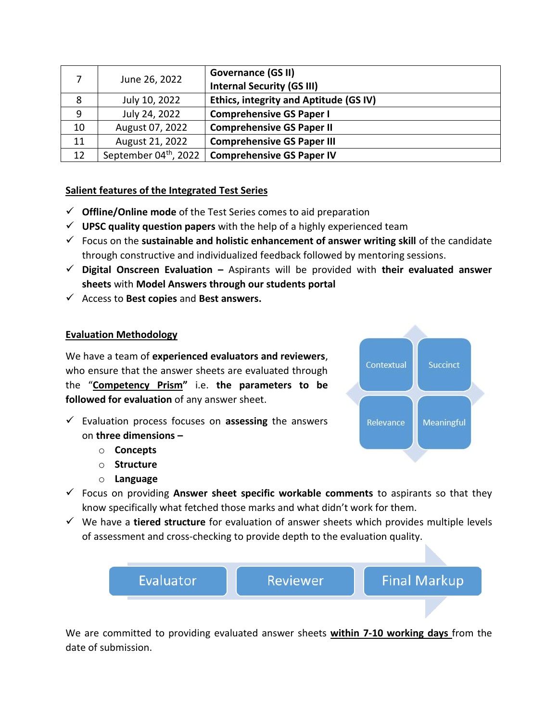|    | June 26, 2022                     | <b>Governance (GS II)</b>              |
|----|-----------------------------------|----------------------------------------|
|    |                                   | <b>Internal Security (GS III)</b>      |
| 8  | July 10, 2022                     | Ethics, integrity and Aptitude (GS IV) |
| 9  | July 24, 2022                     | <b>Comprehensive GS Paper I</b>        |
| 10 | August 07, 2022                   | <b>Comprehensive GS Paper II</b>       |
| 11 | August 21, 2022                   | <b>Comprehensive GS Paper III</b>      |
| 12 | September 04 <sup>th</sup> , 2022 | <b>Comprehensive GS Paper IV</b>       |

## **Salient features of the Integrated Test Series**

- **Offline/Online mode** of the Test Series comes to aid preparation
- **UPSC quality question papers** with the help of a highly experienced team
- Focus on the **sustainable and holistic enhancement of answer writing skill** of the candidate through constructive and individualized feedback followed by mentoring sessions.
- **Digital Onscreen Evaluation –** Aspirants will be provided with **their evaluated answer sheets** with **Model Answers through our students portal**
- Access to **Best copies** and **Best answers.**

#### **Evaluation Methodology**

We have a team of **experienced evaluators and reviewers**, who ensure that the answer sheets are evaluated through the "**Competency Prism"** i.e. **the parameters to be followed for evaluation** of any answer sheet.

- Evaluation process focuses on **assessing** the answers on **three dimensions –**
	- o **Concepts**
	- o **Structure**
	- o **Language**
- Contextual Succinct Relevance **Meaningful**
- Focus on providing **Answer sheet specific workable comments** to aspirants so that they know specifically what fetched those marks and what didn't work for them.
- We have a **tiered structure** for evaluation of answer sheets which provides multiple levels of assessment and cross-checking to provide depth to the evaluation quality.



We are committed to providing evaluated answer sheets **within 7-10 working days** from the date of submission.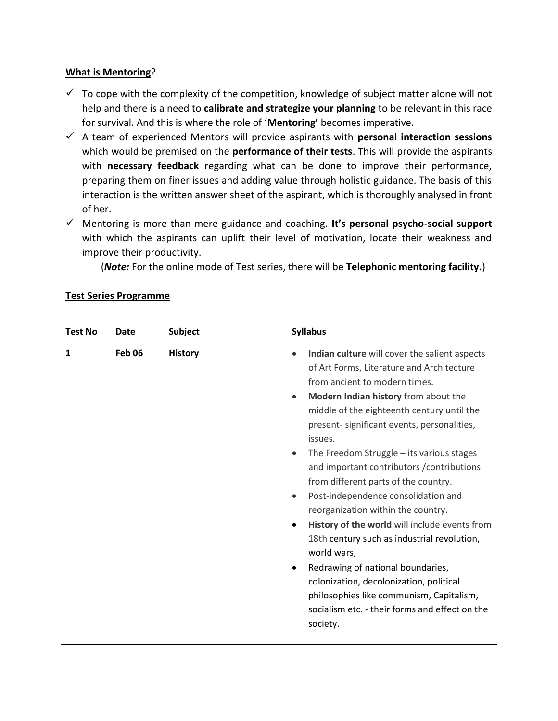#### **What is Mentoring**?

- $\checkmark$  To cope with the complexity of the competition, knowledge of subject matter alone will not help and there is a need to **calibrate and strategize your planning** to be relevant in this race for survival. And this is where the role of '**Mentoring'** becomes imperative.
- A team of experienced Mentors will provide aspirants with **personal interaction sessions** which would be premised on the **performance of their tests**. This will provide the aspirants with **necessary feedback** regarding what can be done to improve their performance, preparing them on finer issues and adding value through holistic guidance. The basis of this interaction is the written answer sheet of the aspirant, which is thoroughly analysed in front of her.
- Mentoring is more than mere guidance and coaching. **It's personal psycho-social support** with which the aspirants can uplift their level of motivation, locate their weakness and improve their productivity.

(*Note:* For the online mode of Test series, there will be **Telephonic mentoring facility.**)

| <b>Test No</b> | <b>Date</b>   | <b>Subject</b> | <b>Syllabus</b>                                                                                                                                                                                                                                                                                                                                                                                                                                                                                                                                                                                                                                                                                                                                                                                                                                                                    |
|----------------|---------------|----------------|------------------------------------------------------------------------------------------------------------------------------------------------------------------------------------------------------------------------------------------------------------------------------------------------------------------------------------------------------------------------------------------------------------------------------------------------------------------------------------------------------------------------------------------------------------------------------------------------------------------------------------------------------------------------------------------------------------------------------------------------------------------------------------------------------------------------------------------------------------------------------------|
| $\mathbf{1}$   | <b>Feb 06</b> | <b>History</b> | Indian culture will cover the salient aspects<br>$\bullet$<br>of Art Forms, Literature and Architecture<br>from ancient to modern times.<br>Modern Indian history from about the<br>$\bullet$<br>middle of the eighteenth century until the<br>present- significant events, personalities,<br>issues.<br>The Freedom Struggle - its various stages<br>$\bullet$<br>and important contributors / contributions<br>from different parts of the country.<br>Post-independence consolidation and<br>$\bullet$<br>reorganization within the country.<br>History of the world will include events from<br>$\bullet$<br>18th century such as industrial revolution,<br>world wars,<br>Redrawing of national boundaries,<br>$\bullet$<br>colonization, decolonization, political<br>philosophies like communism, Capitalism,<br>socialism etc. - their forms and effect on the<br>society. |

## **Test Series Programme**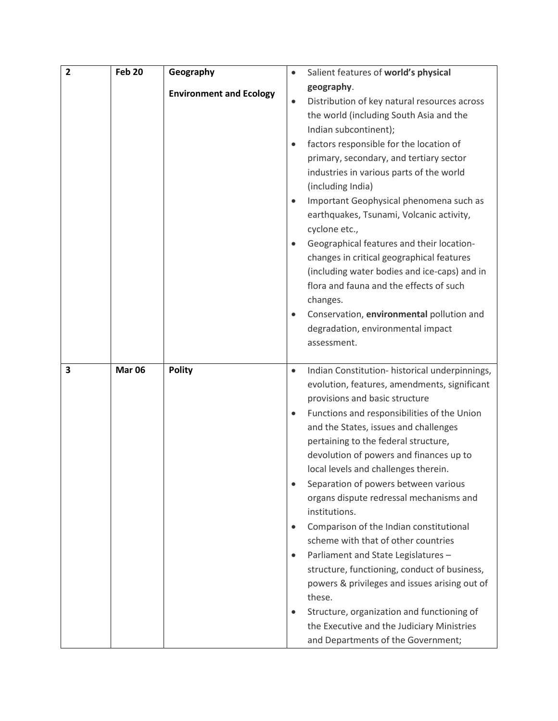| $\overline{2}$ | <b>Feb 20</b> | Geography                      | Salient features of world's physical                      |
|----------------|---------------|--------------------------------|-----------------------------------------------------------|
|                |               |                                | geography.                                                |
|                |               | <b>Environment and Ecology</b> | Distribution of key natural resources across<br>$\bullet$ |
|                |               |                                | the world (including South Asia and the                   |
|                |               |                                | Indian subcontinent);                                     |
|                |               |                                | factors responsible for the location of<br>$\bullet$      |
|                |               |                                | primary, secondary, and tertiary sector                   |
|                |               |                                | industries in various parts of the world                  |
|                |               |                                | (including India)                                         |
|                |               |                                | Important Geophysical phenomena such as                   |
|                |               |                                | earthquakes, Tsunami, Volcanic activity,                  |
|                |               |                                | cyclone etc.,                                             |
|                |               |                                | Geographical features and their location-                 |
|                |               |                                | changes in critical geographical features                 |
|                |               |                                | (including water bodies and ice-caps) and in              |
|                |               |                                | flora and fauna and the effects of such                   |
|                |               |                                | changes.                                                  |
|                |               |                                | Conservation, environmental pollution and                 |
|                |               |                                | degradation, environmental impact                         |
|                |               |                                | assessment.                                               |
|                |               |                                |                                                           |
| 3              | <b>Mar 06</b> | <b>Polity</b>                  | Indian Constitution-historical underpinnings,             |
|                |               |                                | evolution, features, amendments, significant              |
|                |               |                                | provisions and basic structure                            |
|                |               |                                | Functions and responsibilities of the Union<br>$\bullet$  |
|                |               |                                | and the States, issues and challenges                     |
|                |               |                                | pertaining to the federal structure,                      |
|                |               |                                | devolution of powers and finances up to                   |
|                |               |                                | local levels and challenges therein.                      |
|                |               |                                | Separation of powers between various                      |
|                |               |                                | organs dispute redressal mechanisms and<br>institutions.  |
|                |               |                                | Comparison of the Indian constitutional<br>$\bullet$      |
|                |               |                                | scheme with that of other countries                       |
|                |               |                                | Parliament and State Legislatures -<br>$\bullet$          |
|                |               |                                | structure, functioning, conduct of business,              |
|                |               |                                | powers & privileges and issues arising out of             |
|                |               |                                | these.                                                    |
|                |               |                                | Structure, organization and functioning of                |
|                |               |                                |                                                           |
|                |               |                                | the Executive and the Judiciary Ministries                |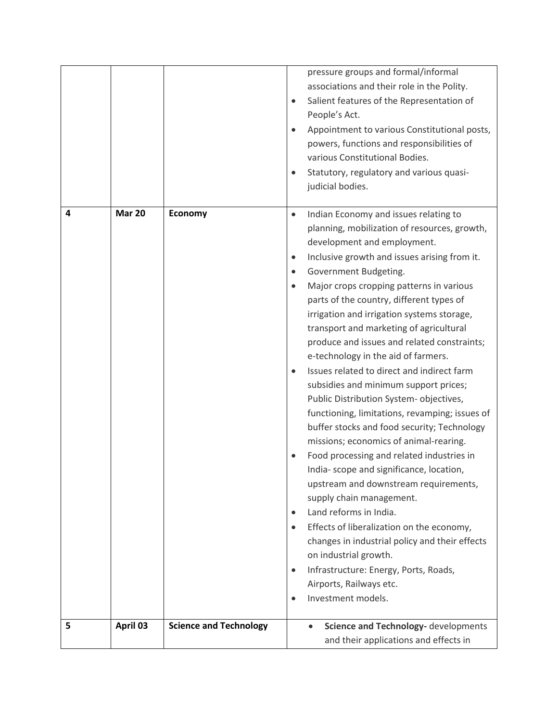|   |               |                               | pressure groups and formal/informal<br>associations and their role in the Polity.<br>Salient features of the Representation of<br>$\bullet$<br>People's Act.<br>Appointment to various Constitutional posts,<br>powers, functions and responsibilities of<br>various Constitutional Bodies.<br>Statutory, regulatory and various quasi-<br>judicial bodies.                                                                                                                                                                                                                                                                                                                                                                                                                                                                                                                                                                                                                                                                                                                                                                                                                                                                                          |
|---|---------------|-------------------------------|------------------------------------------------------------------------------------------------------------------------------------------------------------------------------------------------------------------------------------------------------------------------------------------------------------------------------------------------------------------------------------------------------------------------------------------------------------------------------------------------------------------------------------------------------------------------------------------------------------------------------------------------------------------------------------------------------------------------------------------------------------------------------------------------------------------------------------------------------------------------------------------------------------------------------------------------------------------------------------------------------------------------------------------------------------------------------------------------------------------------------------------------------------------------------------------------------------------------------------------------------|
| 4 | <b>Mar 20</b> | <b>Economy</b>                | Indian Economy and issues relating to<br>$\bullet$<br>planning, mobilization of resources, growth,<br>development and employment.<br>Inclusive growth and issues arising from it.<br>$\bullet$<br>Government Budgeting.<br>$\bullet$<br>Major crops cropping patterns in various<br>$\bullet$<br>parts of the country, different types of<br>irrigation and irrigation systems storage,<br>transport and marketing of agricultural<br>produce and issues and related constraints;<br>e-technology in the aid of farmers.<br>Issues related to direct and indirect farm<br>subsidies and minimum support prices;<br>Public Distribution System-objectives,<br>functioning, limitations, revamping; issues of<br>buffer stocks and food security; Technology<br>missions; economics of animal-rearing.<br>Food processing and related industries in<br>India-scope and significance, location,<br>upstream and downstream requirements,<br>supply chain management.<br>Land reforms in India.<br>$\bullet$<br>Effects of liberalization on the economy,<br>$\bullet$<br>changes in industrial policy and their effects<br>on industrial growth.<br>Infrastructure: Energy, Ports, Roads,<br>$\bullet$<br>Airports, Railways etc.<br>Investment models. |
| 5 | April 03      | <b>Science and Technology</b> | Science and Technology- developments<br>and their applications and effects in                                                                                                                                                                                                                                                                                                                                                                                                                                                                                                                                                                                                                                                                                                                                                                                                                                                                                                                                                                                                                                                                                                                                                                        |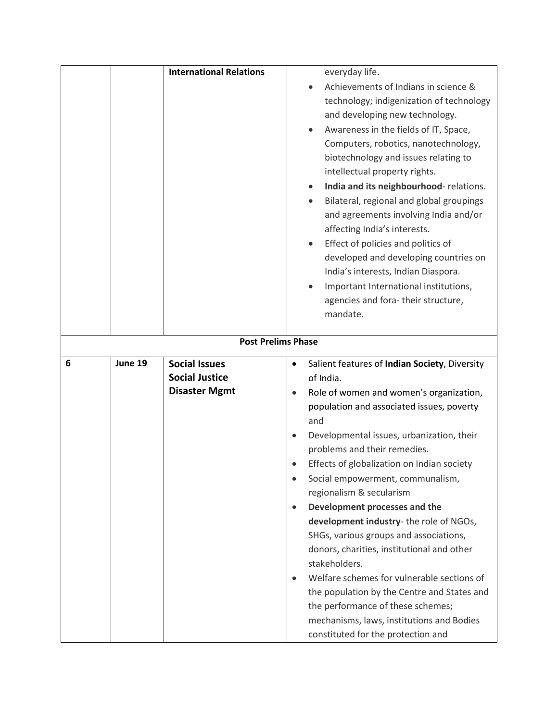|   |         | <b>International Relations</b> | everyday life.                                                                       |
|---|---------|--------------------------------|--------------------------------------------------------------------------------------|
|   |         |                                | Achievements of Indians in science &                                                 |
|   |         |                                | technology; indigenization of technology                                             |
|   |         |                                | and developing new technology.                                                       |
|   |         |                                | Awareness in the fields of IT, Space,                                                |
|   |         |                                | Computers, robotics, nanotechnology,                                                 |
|   |         |                                | biotechnology and issues relating to                                                 |
|   |         |                                | intellectual property rights.                                                        |
|   |         |                                | India and its neighbourhood-relations.<br>$\bullet$                                  |
|   |         |                                | Bilateral, regional and global groupings                                             |
|   |         |                                | and agreements involving India and/or                                                |
|   |         |                                | affecting India's interests.                                                         |
|   |         |                                | Effect of policies and politics of<br>$\bullet$                                      |
|   |         |                                | developed and developing countries on                                                |
|   |         |                                | India's interests, Indian Diaspora.                                                  |
|   |         |                                | Important International institutions,<br>$\bullet$                                   |
|   |         |                                | agencies and fora-their structure,                                                   |
|   |         |                                | mandate.                                                                             |
|   |         |                                |                                                                                      |
|   |         | <b>Post Prelims Phase</b>      |                                                                                      |
|   |         |                                |                                                                                      |
| 6 | June 19 | <b>Social Issues</b>           | $\bullet$                                                                            |
|   |         | <b>Social Justice</b>          | Salient features of Indian Society, Diversity<br>of India.                           |
|   |         | <b>Disaster Mgmt</b>           | $\bullet$                                                                            |
|   |         |                                | Role of women and women's organization,<br>population and associated issues, poverty |
|   |         |                                | and                                                                                  |
|   |         |                                | Developmental issues, urbanization, their                                            |
|   |         |                                | problems and their remedies.                                                         |
|   |         |                                | Effects of globalization on Indian society                                           |
|   |         |                                | Social empowerment, communalism,<br>$\bullet$                                        |
|   |         |                                | regionalism & secularism                                                             |
|   |         |                                | Development processes and the<br>$\bullet$                                           |
|   |         |                                | development industry-the role of NGOs,                                               |
|   |         |                                | SHGs, various groups and associations,                                               |
|   |         |                                | donors, charities, institutional and other                                           |
|   |         |                                | stakeholders.                                                                        |
|   |         |                                | Welfare schemes for vulnerable sections of<br>$\bullet$                              |
|   |         |                                | the population by the Centre and States and                                          |
|   |         |                                | the performance of these schemes;                                                    |
|   |         |                                | mechanisms, laws, institutions and Bodies                                            |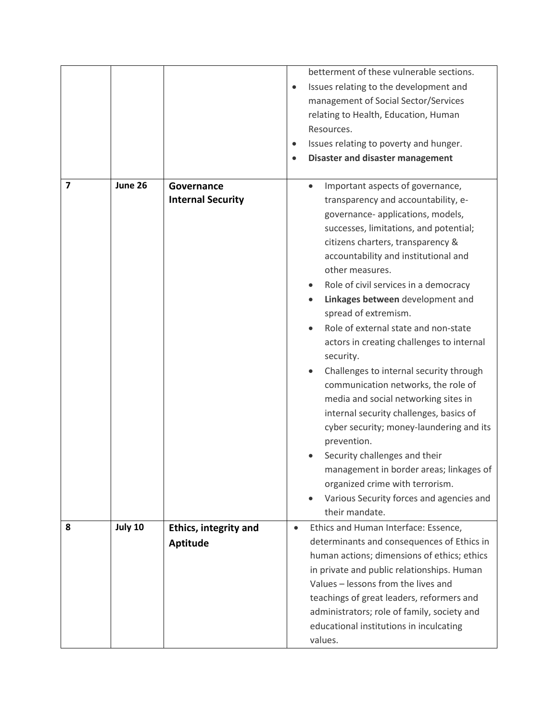|   |         |                                                 | betterment of these vulnerable sections.<br>Issues relating to the development and<br>$\bullet$<br>management of Social Sector/Services<br>relating to Health, Education, Human<br>Resources.<br>Issues relating to poverty and hunger.<br>$\bullet$<br><b>Disaster and disaster management</b>                                                                                                                                                                                                                                                                                                                                                                                                                                                                                                                                                                                         |
|---|---------|-------------------------------------------------|-----------------------------------------------------------------------------------------------------------------------------------------------------------------------------------------------------------------------------------------------------------------------------------------------------------------------------------------------------------------------------------------------------------------------------------------------------------------------------------------------------------------------------------------------------------------------------------------------------------------------------------------------------------------------------------------------------------------------------------------------------------------------------------------------------------------------------------------------------------------------------------------|
| 7 | June 26 | Governance<br><b>Internal Security</b>          | Important aspects of governance,<br>transparency and accountability, e-<br>governance- applications, models,<br>successes, limitations, and potential;<br>citizens charters, transparency &<br>accountability and institutional and<br>other measures.<br>Role of civil services in a democracy<br>Linkages between development and<br>spread of extremism.<br>Role of external state and non-state<br>actors in creating challenges to internal<br>security.<br>Challenges to internal security through<br>communication networks, the role of<br>media and social networking sites in<br>internal security challenges, basics of<br>cyber security; money-laundering and its<br>prevention.<br>Security challenges and their<br>management in border areas; linkages of<br>organized crime with terrorism.<br>Various Security forces and agencies and<br>$\bullet$<br>their mandate. |
| 8 | July 10 | <b>Ethics, integrity and</b><br><b>Aptitude</b> | Ethics and Human Interface: Essence,<br>$\bullet$<br>determinants and consequences of Ethics in<br>human actions; dimensions of ethics; ethics<br>in private and public relationships. Human<br>Values - lessons from the lives and<br>teachings of great leaders, reformers and<br>administrators; role of family, society and<br>educational institutions in inculcating<br>values.                                                                                                                                                                                                                                                                                                                                                                                                                                                                                                   |